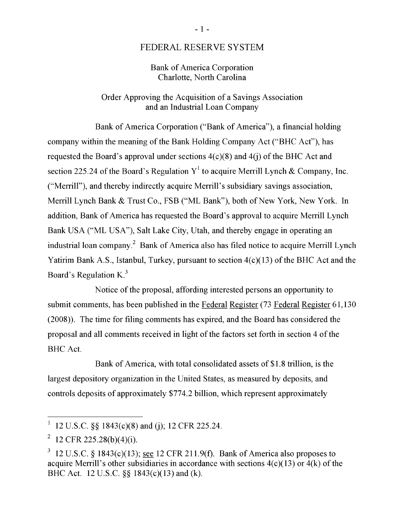## FEDERAL RESERVE SYSTEM

### Bank of America Corporation Charlotte, North Carolina

## Order Approving the Acquisition of a Savings Association and an Industrial Loan Company

Bank of America Corporation ("Bank of America"), a financial holding company within the meaning of the Bank Holding Company Act ("BHC Act"), has requested the Board's approval under sections  $4(c)(8)$  and  $4(i)$  of the BHC Act and 4 of the Board's Regulation  $Y^1$  to acquire Merrill Lynch & Company, Inc. ("Merrill"), and thereby indirectly acquire Merrill's subsidiary savings association,  $\mathcal{S}$  indirectly actually acquire Merrill's subsidiary savings association, saying association, satisfactor, subsidiary savings association, satisfactor, satisfactor, satisfactor, satisfactor, satisfactor, satisfactor, **Bank**  $\alpha$  **I rust Co., FSB ("ML Bank"), both of New York, New York. In** addition, Bank of America has requested the Board's approval to acquire Merrill Lynch Bank USA ("ML USA"), Salt Lake City, Utah, and thereby engage in operating an i company. $^2$  Bank of America also has filed notice to acquire Merrill Lynch Yatirim Bank A.S., Istanbul, Turkey, pursuant to section  $4(c)(13)$  of the BHC Act and the  $\frac{1}{2}$ Board's Regulation K.<sup>3</sup>

 $\Gamma$ rotice of the proposal, arrotung interested persons an opportunity to submit comments, has been published in the Federal Register (73 Federal Register 61,130)  $(2008)$ ). The time for filing comments has expired, and the Board has considered the proposal and all comments received in light of the factors set forth in section 4 of the BHC Act.

Bank of America, with total consolidated assets of \$1.8 trillion, is the largest depository organization in the United States, as measured by deposits, and controls deposits of approximately \$774.2 billion, which represent approximately

<sup>12</sup> U.S.C.  $\$  1843(c)(8) and (j); 12 CFR 225.24.

<sup>12</sup> CFR 225.28(b)(4)(i).

 $3\,$  12 U.S.C. § 1843(c)(13); see 12 CFR 211.9(f). Bank of America also proposes to acquire Merrill's other subsidiaries in accordance with sections  $4(c)(13)$  or  $4(k)$  of the BHC Act. 12 U.S.C. §§ 1843(c)(13) and (k).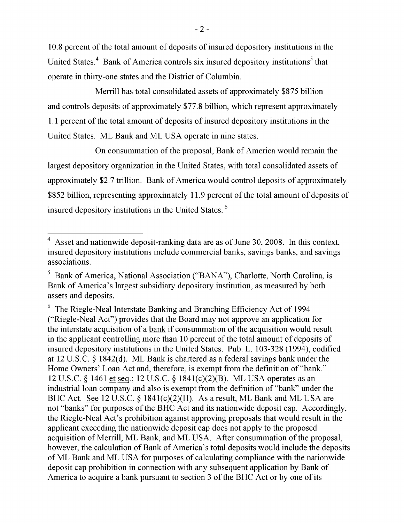10.8 percent of the total amount of deposits of insured depository institutions in the United States.<sup>4</sup> Bank of America controls six insured depository institutions<sup>3</sup> tha operate in thirty-one states and the District of Columbia.

 $\mu$ savilles total sans lideted sasots of america columns  $\beta$ 875 billian  $\mu$ incition has total consolidated assets of approximately  $\phi$ 070 ontion and controls deposits of approximately \$77.8 billion, which represent approx  $\overline{C}$  Charlotte, North Carolina, is Bank of America's largest subsidiary depository depository depository depository depository depository depository depository depository depository depository depository depository de i. I percent of the total amount of deposits of insured depository ins United States. ML Bank and ML USA operate in nine states.

On consummation of the proposal, Bank of America would remain the largest depository organization in the United States, with total consolidated assets of approximately \$2.7 trillion. Bank of America would control deposits of approximately \$852 billion, representing approximately 11.9 percent of the total amount of deposits of  $\begin{bmatrix} 1 & 0 & 1 \end{bmatrix}$ atory institutions in the United States.  $\degree$ 

insured depository institutions in the United States. <sup>6</sup>

<sup>&</sup>lt;sup>4</sup> Asset and nationwide deposit-ranking data are as of June 30, 2008. In this context, insured depository institutions include commercial banks, savings banks, and savings associations.

 $\frac{1}{2}$  percent of the total anount of  $\frac{1}{2}$  of  $\frac{1}{2}$  of  $\frac{1}{2}$  of  $\frac{1}{2}$  of  $\frac{1}{2}$ - Bank of America, National Association ("BANA"), Charlotte, North Carolina, 1 Bank of America's largest subsidiary depository institution, as measured by both assets and deposits.  $\lambda$  therefore, is exempt from the definition of  $\lambda$ 

 $6$  The Riegle-Neal Interstate Banking and Branching Efficiency Act of 1994 ("Riegle-Neal Act") provides that the Board may not approve an application for the interstate acquisition of a bank if consummation of the acquisition would result in the applicant controlling more than 10 percent of the total amount of deposits of insured depository institutions in the United States. Pub. L. 103-328 (1994), codified at 12 U.S.C.  $\S$  1842(d). ML Bank is chartered as a federal savings bank under the Home Owners' Loan Act and, therefore, is exempt from the definition of "bank." 12 U.S.C. § 1461 et seq.; 12 U.S.C. § 1841(c)(2)(B). ML USA operates as an industrial loan company and also is exempt from the definition of "bank" under the however, the calculation of Bank of America's total  $\frac{d}{dx}$  12 U.S.C. § 1641(C)(2)(H). As a 1 not "banks" for purposes of the BHC Act and its nationwide deposit cap. Accordingly, the Riegle-Neal Act's prohibition against approving proposals that would result in the applicant exceeding the nationwide deposit cap does not apply to the proposed acquisition of Merrill, ML Bank, and ML USA. After consummation of the proposal, however, the calculation of Bank of America's total deposits would include the deposits of ML Bank and ML USA for purposes of calculating compliance with the nationwide deposit cap prohibition in connection with any subsequent application by Bank of America to acquire a bank pursuant to section 3 of the BHC Act or by one of its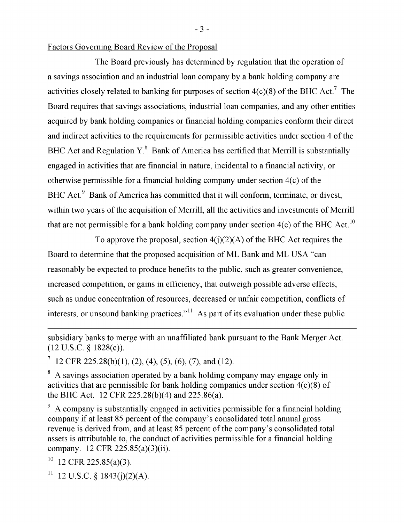#### Factors Governing Board Review of the Proposal

The Board previously has determined by regulation that the operation of a savings association and an industrial loan company by a bank holding company are activities closely related to banking for purposes of section  $4(c)(8)$  of the BHC Act.<sup>7</sup> The Board requires that savings associations, industrial loan companies, and any other entities Board requires that savings associations, industrial loan companies, and any other entities acquired by bank holding companies or financial holding companies conform their direct and indirect activities to the requirements for permissible activities under section 4 of the Regulation Y.<sup>8</sup> Bank of America has certified that Merrill is substantially engaged in activities that are financial in nature, incidental to a financial activity, or otherwise permissible for a financial holding company under section  $4(c)$  of the BHC Act.<sup>9</sup> Bank of America has committed that it will conform, terminate, or divest, within two years of the acquisition of Merrill, all the activities and investments of Merrill that are not permissible for a bank holding company under section  $4(c)$  of the BHC Act.<sup>10</sup>

 $\mathbf{F}_{\epsilon}$  bank holding companies under section  $A(\cdot)(2)(A)$ ,  $\mathbf{C}A$ ,  $\mathbf{D}\mathbf{H}\mathbf{C}$ ,  $A$  at no mains a  $A$ To approve the proposal, section  $4(J)(2)(A)$  of the BTC Act requires the Board to determine that the proposed acquisition of ML Bank and ML USA "can otherwise permission permission  $\mathcal{L}$  for a final holding company under section 4(c) of the theory under section 4(c) of the theory under section 4(c) of the theory under section 4(c) of the theory under section 4(c) o expected to produce benefits to the public, such as greater convenience, increased competition, or gains in efficiency, that outweigh possible adverse effects,  $\overline{c}$  $\epsilon$  concentration of resources, decreased or unfair competition, conflicts of to the conductivity  $t_{\rm max}$  and  $t_{\rm max}$  and  $t_{\rm max}$  and  $t_{\rm max}$  for a final holding comparison in the complete 225 September 225.85 (a) and the footnote.

terminate, or divest, within two years of the activities and  $\alpha$  accursion of  $M$ 

12 CFR 225.28(b)(1), (2), (4), (5), (6), (7), and (12).  $B_0(a)$ ,  $B_1(a)$ ,  $C_2(a)$ ,  $C_3(a)$ ,  $C_4(a)$ ,  $C_5(a)$ ,  $C_6(a)$ ,  $C_7(a)$ 

ssociation operated by a bank holding company may engage only in activities that are permissible for bank holding companies under section  $4(c)(8)$  of the BHC Act. 12 CFR  $225.28(b)(4)$  and  $225.86(a)$ .

A company is substantially engaged in activities permissible for a financial holding company if at least 85 percent of the company's consolidated total annual gross revenue is derived from, and at least 85 percent of the company's consolidated total assets is attributable to, the conduct of activities permissible for a financial holding company. 12 CFR 225.85(a)(3)(ii).

<sup>10</sup> 12 CFR 225.85(a)(3).

<sup>11</sup> 12 U.S.C. § 1843(j)(2)(A).

 $-3-$ 

subsidiary banks to merge with an unaffiliated bank pursuant to the Bank Merger Act.  $(12 \text{ U.S.C. } § 1828(c)).$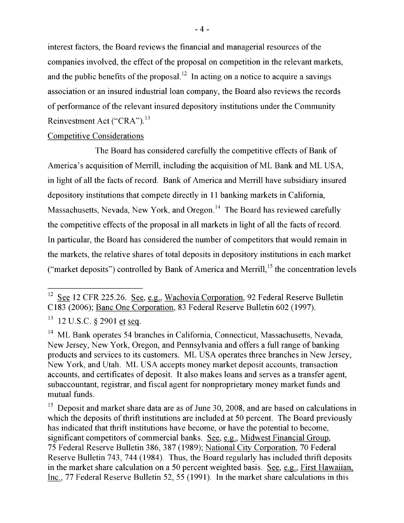interest factors, the Board reviews the financial and managerial resources of the companies involved, the effect of the proposal on competition in the relevant markets, and the public benefits of the proposal.<sup>12</sup> In acting on a notice to acquire a savings association or an insured industrial loan company, the Board also reviews the records of performance of the relevant insured depository institutions under the Community Reinvestment Act ("CRA").<sup>13</sup>

# Competitive Considerations

The Deevel bee considered corefully the commetitive effects of Devly Fire board has considered carefully the competitive effects of Bail or America's acquisition of Merrill, including the acquisition of ML Bank and ML USA,  $\frac{1}{2}$ In light of all the facts of record. Bank depository institutions that compete directly in 11 banking markets in California,  $T$  as considered carefully the competitive effects of  $\frac{1}{2}$ s, Nevada, New York, and Oregon. The Board has reviewed carefully ie effects of the proposal in all markets in light of all the facts of record.  $\alpha$ depository is the proposite in the manners in 11 bank of the rate of records. In particular, the Board has considered the number of competitors that would remain in the markets, the relative shares of total deposits in depository institutions in each market ("market deposits") controlled by Bank of America and Merrill,  $15$  the concentration levels

full range of banking products and services to its customers. ML USA R 225.26. See, e.g., Wachovia Corporation, 92 Federal Reserve Bulletin C183 (2006); Banc One Corporation, 83 Federal Reserve Bulletin 602 (1997).

 $13 \text{ } 12 \text{ U.S.C. }$  8 2901 et seq.

 $s_2$  and  $r_1$  and  $r_2$  agent for nonproprietary monopolymoney monopolymoney matrix  $\overline{r}$ pperates 54 branches in California, Connecticut, Massachusetts, Nevada, New Jersey, New York, Oregon, and Pennsylvania and offers a full range of banking products and services to its customers. ML USA operates three branches in New Jersey, New York, and Utah. ML USA accepts money market deposit accounts, transaction accounts, and certificates of deposit. It also makes loans and serves as a transfer agent, subaccountant, registrar, and fiscal agent for nonproprietary money market funds and mutual funds.

<sup>15</sup> Deposit and market share data are as of June 30, 2008, and are based on calculations in which the deposits of thrift institutions are included at 50 percent. The Board previously has indicated that thrift institutions have become, or have the potential to become, significant competitors of commercial banks. See, e.g., Midwest Financial Group, 75 Federal Reserve Bulletin 386, 387 (1989); National City Corporation, 70 Federal Reserve Bulletin 743, 744 (1984). Thus, the Board regularly has included thrift deposits in the market share calculation on a 50 percent weighted basis. See, e.g., First Hawaiian, Inc., 77 Federal Reserve Bulletin 52, 55 (1991). In the market share calculations in this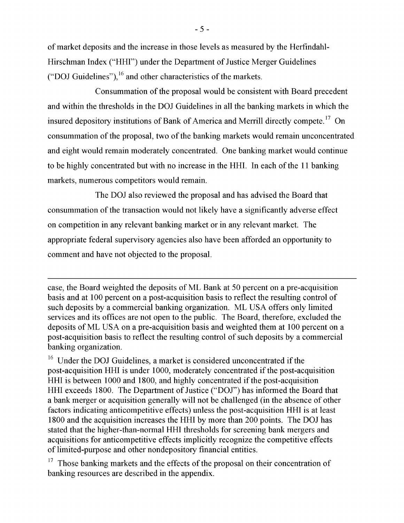of market deposits and the increase in those levels as measured by the Herfindahl-Hirschman Index ("HHI") under the Department of Justice Merger Guidelines ("DOJ Guidelines"),  $^{16}$  and other characteristics of the markets.

Consummation of the proposal would be consistent with Board precedent which the deposits of thrift institutions are institutions are included at 50 percent. The Board previously pr and within the thresholds in the DOJ Guidelines in all the banking markets in whi insured denository institutions of Bank of America and Merrill directly compete  $^{\mathrm{1}}$  $\frac{1}{2}$  Federal Reserve Bulletin 386, 387 (1989); National City Corporation, 70 Federal City Composition, 70  $\frac{1}{2}$ consummation of the proposal, two of the banking markets would remain unconcentrated ind eight would remain moderately concentrated. One banking market would continue and eight would remain moderately concentrated. One banking market would continue to be highly concentrated but with no increase in the HHI. In each of the 11 banking  $\mathbf{b}$  at 100 percent on a post-acquisition basis to reflect the resulting control of reflect the resulting control of  $\mathbf{b}$  $max$ cis, humerous competitors would remain.

The DOJ also reviewed the proposal and has advised the Board that deposits of ML USA on a pre-actual on a pre-actual on a pre-actual on a pre-actual on at 100 percent on at 100 percent on at 100 percent on a preconsummation of the transaction would not likely have a significantly adverse effect on competition in any relevant banking market or in any relevant market. The market is considered unconcentrated if the post-acquisition HHI is unconcentrated if the post-acquisition HHI i appropriate federal supervisory agencies also have been afforded an opportunity to comment and have not objected to the proposal. ("DOM) has into the Board that a bank merger or activity of the Board merger or activity will not be expected.

post-accuracy increases the acquisition HHI is at least 1800 and the acquisition increases the HHI by more tha case, the Board weighted the deposits of ML Bank at 50 percent on a pre-acquisition basis and at 100 percent on a post-acquisition basis to reflect the resulting control of such deposits by a commercial banking organization. ML USA offers only limited services and its offices are not open to the public. The Board, therefore, excluded the deposits of ML USA on a pre-acquisition basis and weighted them at 100 percent on a post-acquisition basis to reflect the resulting control of such deposits by a commercial banking organization.

 $\overline{C}$  $\sigma_{\rm v}$  on the proposal on the proposal or the proposal of the appel in the appendix. post-acquisition HHI is under 1000, moderately concentrated if the post-acquisition HHI is between 1000 and 1800, and highly concentrated if the post-acquisition remain unconcentrated in the post-acquisition moderated remains when  $\frac{1}{4}$  concentrated. One bank in  $\frac{1}{4}$  concentrated. One bank in  $\frac{1}{4}$  concentrated. The bank in  $\frac{1}{4}$  concentrated in the post-acquisiti  $m_{\text{tot}}$  in the beharmorean of susfice (bost) has informed the Board that a bank merger or acquisition generally will not be challenged (in the absence of other factors indicating anticompetitive effects) unless the post-acquisition HHI is at least 1800 and the acquisition increases the HHI by more than 200 points. The DOJ has stated that the higher-than-normal HHI thresholds for screening bank mergers and acquisitions for anticompetitive effects implicitly recognize the competitive effects of limited-purpose and other nondepository financial entities.

 $17$  Those banking markets and the effects of the proposal on their concentration of banking resources are described in the appendix.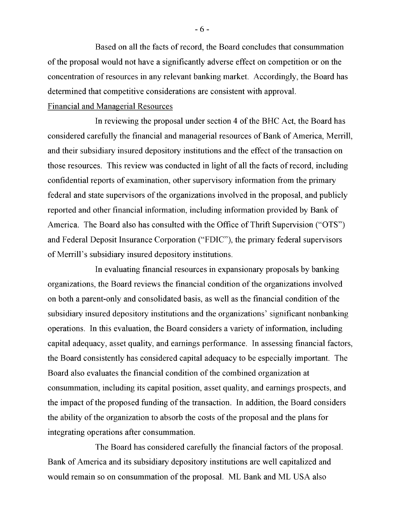Based on all the facts of record, the Board concludes that consummation of the proposal would not have a significantly adverse effect on competition or on the concentration of resources in any relevant banking market. Accordingly, the Board has determined that competitive considerations are consistent with approval.

# Financial and Managerial Resources

In reviewing the proposal under section 4 of the BHC Act, the Board has considered carefully the financial and managerial resources of Bank of America, Merrill, and their subsidiary insured depository institutions and the effect of the transaction on those resources. This review was conducted in light of all the facts of record, including confidential reports of examination, other supervisory information from the primary federal and state supervisors of the organizations involved in the proposal, and publicly reported and other financial information, including information provided by Bank of America. The Board also has consulted with the Office of Thrift Supervision ("OTS") and Federal Deposit Insurance Corporation ("FDIC"), the primary federal supervisors of Merrill's subsidiary insured depository institutions.

In evaluating financial resources in expansionary proposals by banking organizations, the Board reviews the financial condition of the organizations involved on both a parent-only and consolidated basis, as well as the financial condition of the subsidiary insured depository institutions and the organizations' significant nonbanking operations. In this evaluation, the Board considers a variety of information, including capital adequacy, asset quality, and earnings performance. In assessing financial factors, the Board consistently has considered capital adequacy to be especially important. The Board also evaluates the financial condition of the combined organization at consummation, including its capital position, asset quality, and earnings prospects, and the impact of the proposed funding of the transaction. In addition, the Board considers the ability of the organization to absorb the costs of the proposal and the plans for integrating operations after consummation.

The Board has considered carefully the financial factors of the proposal. Bank of America and its subsidiary depository institutions are well capitalized and would remain so on consummation of the proposal. ML Bank and ML USA also

 $-6-$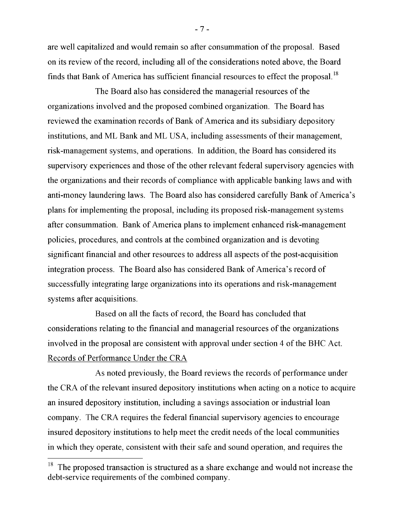are well capitalized and would remain so after consummation of the proposal. Based on its review of the record, including all of the considerations noted above, the Board finds that Bank of America has sufficient financial resources to effect the proposal.<sup>18</sup>

[Footnote 18 The proposed transaction is structured as a share exchange and would not increase that debt also has considered the managerial resources of the organizations involved and the proposed combined organization. The Board has reviewed the examination records of Bank of America and its subsidiary depository institutions, and ML Bank and ML USA, including assessments of their management, risk-management systems, and operations. In addition, the Board has considered its supervisory experiences and those of the other relevant federal supervisory agencies with the organizations and their records of compliance with applicable banking laws and with anti-money laundering laws. The Board also has considered carefully Bank of America's plans for implementing the proposal, including its proposed risk-management systems after consummation. Bank of America plans to implement enhanced risk-management policies, procedures, and controls at the combined organization and is devoting significant financial and other resources to address all aspects of the post-acquisition integration process. The Board also has considered Bank of America's record of successfully integrating large organizations into its operations and risk-management systems after acquisitions.

Based on all the facts of record, the Board has concluded that considerations relating to the financial and managerial resources of the organizations involved in the proposal are consistent with approval under section 4 of the BHC Act. Records of Performance Under the CRA

As noted previously, the Board reviews the records of performance under the CRA of the relevant insured depository institutions when acting on a notice to acquire an insured depository institution, including a savings association or industrial loan company. The CRA requires the federal financial supervisory agencies to encourage insured depository institutions to help meet the credit needs of the local communities in which they operate, consistent with their safe and sound operation, and requires the

 $-7-$ 

 $18$  The proposed transaction is structured as a share exchange and would not increase the debt-service requirements of the combined company.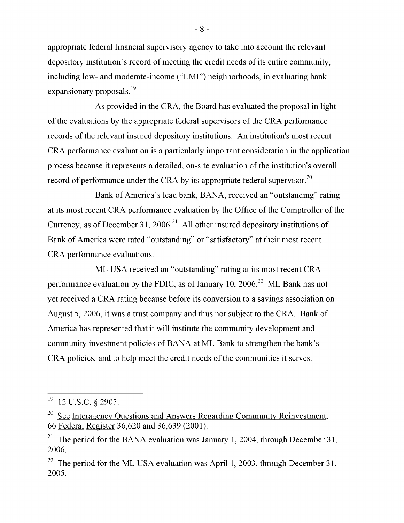appropriate federal financial supervisory agency to take into account the relevant depository institution's record of meeting the credit needs of its entire community, including low- and moderate-income ("LMI") neighborhoods, in evaluating bank expansionary proposals.<sup>19</sup>

As provided in the CRA, the Board has evaluated the proposal in light of the evaluations by the appropriate federal supervisors of the CRA performance records of the relevant insured depository institutions. An institution's most recent CRA performance evaluation is a particularly important consideration in the application process because it represents a detailed, on-site evaluation of the institution's overall record of performance under the CRA by its appropriate federal supervisor.<sup>20</sup>

Bank of America's lead bank, BANA, received an "outstanding" rating at its most recent CRA performance evaluation by the Office of the Comptroller of the  $\begin{bmatrix} 1 & 21 & 2006 \end{bmatrix}$   $\begin{bmatrix} 1 & 1 & 0 \\ 0 & 1 & 0 \end{bmatrix}$  rating rating rating rating rating rating rating rating rating rating rating rating rating rating rating rating rating rating rating rating rating rating rating r at December 31, 2006. All other insured depository institutions of  $\overline{\phantom{a}}$ Bank of America were rated "outstanding" or "satisfactory" at their most recent CRA performance evaluations.

 $\overline{M}$ . EDCA, as solved and  $\overline{M}$  on  $\overline{M}$  insured depository institutions of the property  $\overline{CD}$  $B$ ank of America and  $B$  outstanding  $B$  at the most recent  $C_{AA}$ performance evaluation by the FDIC, as of January 10, 2006.<sup>22</sup> ML Bank has not  $\mathbb{R}$  recent and  $\mathbb{R}$  recent CRA recent CRA recent CRA recent CRA rating at its most recent CRA recent CRA recent CRA recent CRA recent CRA recent CRA recent CRA recent CRA recent CRA recent CRA recent CRA recent C CRA rating because before its conversion to a savings associal August 5, 2006, it was a trust company and thus not subject to the CRA. Bank of America has represented that it will institute the community development and community investment policies of BANA at ML Bank to strengthen the bank's CRA policies, and to help meet the credit needs of the communities it serves.

 $\frac{1}{\sqrt{1-\frac{1}{\sqrt{1-\frac{1}{\sqrt{1-\frac{1}{\sqrt{1-\frac{1}{\sqrt{1-\frac{1}{\sqrt{1-\frac{1}{\sqrt{1-\frac{1}{\sqrt{1-\frac{1}{\sqrt{1-\frac{1}{\sqrt{1-\frac{1}{\sqrt{1-\frac{1}{\sqrt{1-\frac{1}{\sqrt{1-\frac{1}{\sqrt{1-\frac{1}{\sqrt{1-\frac{1}{\sqrt{1-\frac{1}{\sqrt{1-\frac{1}{\sqrt{1-\frac{1}{\sqrt{1-\frac{1}{\sqrt{1-\frac{1}{\sqrt{1-\frac{1}{\sqrt{1-\frac{1}{\sqrt{1-\frac{1}{\sqrt{1-\frac{1$  $\chi$  2903.

 $^{20}$  See Interagency Questions and Answers Regarding Community Reinvestment, 66 Federal Register 36,620 and 36,639 (2001).

<sup>&</sup>lt;sup>21</sup> The period for the BANA evaluation was January 1, 2004, through December 31, 2006.

 $22$  The period for the ML USA evaluation was April 1, 2003, through December 31, 2005.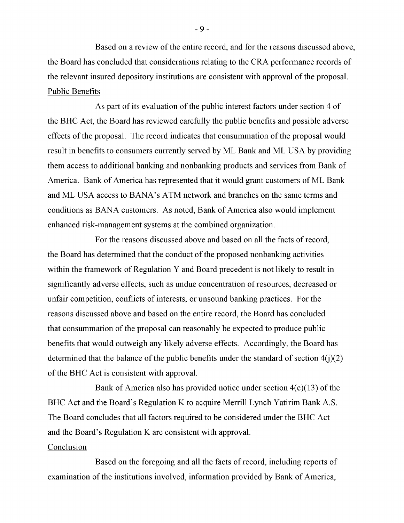Based on a review of the entire record, and for the reasons discussed above, the Board has concluded that considerations relating to the CRA performance records of the relevant insured depository institutions are consistent with approval of the proposal. Public Benefits

As part of its evaluation of the public interest factors under section 4 of the BHC Act, the Board has reviewed carefully the public benefits and possible adverse effects of the proposal. The record indicates that consummation of the proposal would result in benefits to consumers currently served by ML Bank and ML USA by providing them access to additional banking and nonbanking products and services from Bank of America. Bank of America has represented that it would grant customers of ML Bank and ML USA access to BANA's ATM network and branches on the same terms and conditions as BANA customers. As noted, Bank of America also would implement enhanced risk-management systems at the combined organization.

For the reasons discussed above and based on all the facts of record, the Board has determined that the conduct of the proposed nonbanking activities within the framework of Regulation Y and Board precedent is not likely to result in significantly adverse effects, such as undue concentration of resources, decreased or unfair competition, conflicts of interests, or unsound banking practices. For the reasons discussed above and based on the entire record, the Board has concluded that consummation of the proposal can reasonably be expected to produce public benefits that would outweigh any likely adverse effects. Accordingly, the Board has determined that the balance of the public benefits under the standard of section  $4(j)(2)$ of the BHC Act is consistent with approval.

Bank of America also has provided notice under section  $4(c)(13)$  of the BHC Act and the Board's Regulation K to acquire Merrill Lynch Yatirim Bank A.S. The Board concludes that all factors required to be considered under the BHC Act and the Board's Regulation K are consistent with approval.

### Conclusion

Based on the foregoing and all the facts of record, including reports of examination of the institutions involved, information provided by Bank of America,

 $-9-$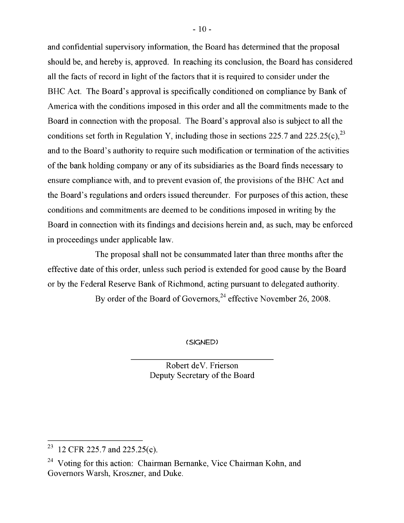and confidential supervisory information, the Board has determined that the proposal should be, and hereby is, approved. In reaching its conclusion, the Board has considered all the facts of record in light of the factors that it is required to consider under the BHC Act. The Board's approval is specifically conditioned on compliance by Bank of America with the conditions imposed in this order and all the commitments made to the Board in connection with the proposal. The Board's approval also is subject to all the conditions set forth in Regulation Y, including those in sections 225.7 and 225.25(c),  $^{23}$ and to the Board's authority to require such modification or termination of the activities of the bank holding company or any of its subsidiaries as the Board finds necessary to holding company or any of its subsidiaries as the Board finds necessary to ensure compliance with, and to prevent evasion of, the provisions of the BHC Act and the Board's regulations and orders issued thereunder. For purposes of this action, these conditions and commitments are deemed to be conditions imposed in writing by the Board in connection with its findings and decisions herein and, as such, may be enforced in proceedings under applicable law.

The proposal shall not be consummated later than three months after the effective date of this order, unless such period is extended for good cause by the Board or by the Federal Reserve Bank of Richmond, acting pursuant to delegated authority.

By order of the Board of Governors,  $24$  effective November 26, 2008.

(signed)

Robert deV. Frierson Deputy Secretary of the Board

<sup>&</sup>lt;sup>23</sup> 12 CFR 225.7 and 225.25(c).

<sup>&</sup>lt;sup>24</sup> Voting for this action: Chairman Bernanke, Vice Chairman Kohn, and Governors Warsh, Kroszner, and Duke.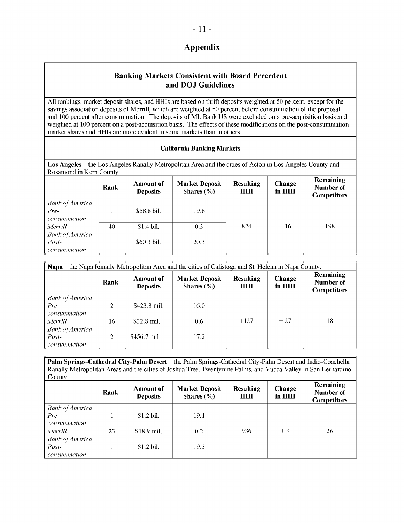# **Appendix**

### **Banking Markets Consistent with Board Precedent and DOJ Guidelines**

All rankings, market deposit shares, and HHIs are based on thrift deposits weighted at 50 percent, except for the savings association deposits of Merrill, which are weighted at 50 percent before consummation of the proposal and 100 percent after consummation. The deposits of ML Bank US were excluded on a pre-acquisition basis and weighted at 100 percent on a post-acquisition basis. The effects of these modifications on the post-consummation market shares and HHIs are more evident in some markets than in others.

#### **California Banking Markets**

**Los Angeles** – the Los Angeles Ranally Metropolitan Area and the cities of Acton in Los Angeles County and Rosamond in Kern County.

|                                                   | Rank | <b>Amount of</b><br><b>Deposits</b> | <b>Market Deposit</b><br>Shares $(\% )$ | <b>Resulting</b><br><b>HHI</b> | Change<br>in HHI | Remaining<br>Number of<br><b>Competitors</b> |
|---------------------------------------------------|------|-------------------------------------|-----------------------------------------|--------------------------------|------------------|----------------------------------------------|
| <b>Bank of America</b><br>$Pre-$<br>consummation  |      | \$58.8 bil.                         | 19.8                                    |                                |                  |                                              |
| Merrill                                           | 40   | $$1.4$ bil.                         | 0.3                                     | 824                            | $+16$            | 198                                          |
| <b>Bank of America</b><br>$Post-$<br>consummation |      | $$60.3$ bil.                        | 20.3                                    |                                |                  |                                              |

| Napa – the Napa Ranally Metropolitan Area and the cities of Calistoga and St. Helena in Napa County. |                |                                     |                                         |                         |                         |                                              |  |  |  |
|------------------------------------------------------------------------------------------------------|----------------|-------------------------------------|-----------------------------------------|-------------------------|-------------------------|----------------------------------------------|--|--|--|
|                                                                                                      | Rank           | <b>Amount of</b><br><b>Deposits</b> | <b>Market Deposit</b><br>Shares $(\% )$ | <b>Resulting</b><br>HHI | <b>Change</b><br>in HHI | Remaining<br>Number of<br><b>Competitors</b> |  |  |  |
| <b>Bank of America</b><br>Pre-<br>consummation                                                       | 2              | \$423.8 mil.                        | 16.0                                    |                         |                         |                                              |  |  |  |
| Merrill                                                                                              | 16             | $$32.8$ mil.                        | 0.6                                     | 1127                    | $+27$                   | 18                                           |  |  |  |
| <b>Bank of America</b><br>$Post-$<br>consummation                                                    | $\mathfrak{D}$ | \$456.7 mil.                        | 17.2                                    |                         |                         |                                              |  |  |  |

**Palm Springs-Cathedral City-Palm Desert** – the Palm Springs-Cathedral City-Palm Desert and Indio-Coachella Ranally Metropolitan Areas and the cities of Joshua Tree, Twentynine Palms, and Yucca Valley in San Bernardino County.

|                                                   | Rank | <b>Amount of</b><br><b>Deposits</b> | <b>Market Deposit</b><br>Shares $(\% )$ | <b>Resulting</b><br><b>HHI</b> | <b>Change</b><br>in HHI | Remaining<br>Number of<br><b>Competitors</b> |
|---------------------------------------------------|------|-------------------------------------|-----------------------------------------|--------------------------------|-------------------------|----------------------------------------------|
| <b>Bank of America</b><br>$Pre-$<br>consummation  |      | $$1.2$ bil.                         | 19.1                                    |                                |                         |                                              |
| Merrill                                           | 23   | \$18.9 mil.                         | 0.2                                     | 936                            | $+9$                    | 26                                           |
| <b>Bank of America</b><br>$Post-$<br>consummation |      | $$1.2$ bil.                         | 19.3                                    |                                |                         |                                              |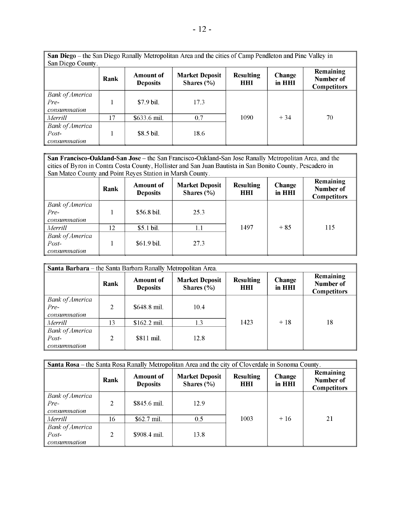| San Diego – the San Diego Ranally Metropolitan Area and the cities of Camp Pendleton and Pine Valley in<br>San Diego County. |      |                                     |                                         |                         |                         |                                              |  |  |  |
|------------------------------------------------------------------------------------------------------------------------------|------|-------------------------------------|-----------------------------------------|-------------------------|-------------------------|----------------------------------------------|--|--|--|
|                                                                                                                              | Rank | <b>Amount of</b><br><b>Deposits</b> | <b>Market Deposit</b><br>Shares $(\% )$ | <b>Resulting</b><br>HHI | <b>Change</b><br>in HHI | Remaining<br>Number of<br><b>Competitors</b> |  |  |  |
| <b>Bank of America</b><br>Pre-<br>consummation                                                                               |      | $$7.9$ bil.                         | 17.3                                    |                         |                         |                                              |  |  |  |
| Merrill                                                                                                                      | 17   | \$633.6 mil.                        | 0.7                                     | 1090                    | $+34$                   | 70                                           |  |  |  |
| <b>Bank of America</b><br>$Post-$<br>consummation                                                                            |      | $$8.5$ bil.                         | 18.6                                    |                         |                         |                                              |  |  |  |

**San Francisco-Oakland-San Jose** – the San Francisco-Oakland-San Jose Ranally Metropolitan Area, and the cities of Byron in Contra Costa County, Hollister and San Juan Bautista in San Bonito County, Pescadero in San Mateo County and Point Reyes Station in Marsh County.

|                                                  | Rank | <b>Amount of</b><br><b>Deposits</b> | <b>Market Deposit</b><br>Shares $(\% )$ | <b>Resulting</b><br>HHI | <b>Change</b><br>in HHI | Remaining<br>Number of<br><b>Competitors</b> |
|--------------------------------------------------|------|-------------------------------------|-----------------------------------------|-------------------------|-------------------------|----------------------------------------------|
| <b>Bank of America</b><br>$Pre-$<br>consummation |      | \$56.8 bil.                         | 25.3                                    |                         |                         |                                              |
| Merrill                                          | 12   | \$5.1 bil.                          | 1.1                                     | 1497                    | $+85$                   | 115                                          |
| <b>Bank of America</b><br>Post-<br>consummation  |      | \$61.9 bil.                         | 27.3                                    |                         |                         |                                              |

| Santa Barbara – the Santa Barbara Ranally Metropolitan Area. |      |                                     |                                         |                         |                         |                                              |  |  |  |
|--------------------------------------------------------------|------|-------------------------------------|-----------------------------------------|-------------------------|-------------------------|----------------------------------------------|--|--|--|
|                                                              | Rank | <b>Amount of</b><br><b>Deposits</b> | <b>Market Deposit</b><br>Shares $(\% )$ | <b>Resulting</b><br>HHI | <b>Change</b><br>in HHI | Remaining<br>Number of<br><b>Competitors</b> |  |  |  |
| <b>Bank of America</b><br>Pre-<br>consummation               | 2    | \$648.8 mil.                        | 10.4                                    |                         |                         |                                              |  |  |  |
| Merrill                                                      | 13   | $$162.2$ mil.                       | 1.3                                     | 1423                    | $+18$                   | 18                                           |  |  |  |
| <b>Bank of America</b><br>$Post-$<br>consummation            | 2    | \$811 mil.                          | 12.8                                    |                         |                         |                                              |  |  |  |

| Santa Rosa - the Santa Rosa Ranally Metropolitan Area and the city of Cloverdale in Sonoma County. |                                                                                                                                                                                              |              |      |      |       |    |  |  |
|----------------------------------------------------------------------------------------------------|----------------------------------------------------------------------------------------------------------------------------------------------------------------------------------------------|--------------|------|------|-------|----|--|--|
|                                                                                                    | Remaining<br><b>Market Deposit</b><br>Change<br><b>Resulting</b><br><b>Amount of</b><br>Rank<br>Number of<br><b>Deposits</b><br>Shares $(\% )$<br>in HHI<br><b>HHI</b><br><b>Competitors</b> |              |      |      |       |    |  |  |
| <b>Bank of America</b><br>Pre-<br>consummation                                                     | 2                                                                                                                                                                                            | \$845.6 mil. | 12.9 |      |       |    |  |  |
| Merrill                                                                                            | 16                                                                                                                                                                                           | $$62.7$ mil. | 0.5  | 1003 | $+16$ | 21 |  |  |
| <b>Bank of America</b><br>$Post-$<br>consummation                                                  | $\overline{\mathcal{L}}$                                                                                                                                                                     | \$908.4 mil. | 13.8 |      |       |    |  |  |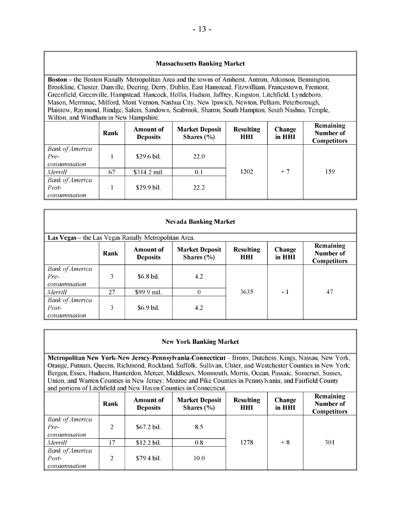#### **Massachusetts Banking Market**

**Boston** – the Boston Ranally Metropolitan Area and the towns of Amherst, Antrim, Atkinson, Bennington, Brookline, Chester, Danville, Deering, Derry, Dublin, East Hamstead, Fitzwilliam, Francestown, Fremont, Greenfield, Greenville, Hampstead, Hancock, Hollis, Hudson, Jaffrey, Kingston, Litchfield, Lyndeboro, Mason, Merrimac, Milford, Mont Vernon, Nashua City, New Ipswich, Newton, Pelham, Peterborough, Plaistow, Raymond, Rindge, Salem, Sandown, Seabrook, Sharon, South Hampton, South Nashua, Temple, Wilton, and Windham in New Hampshire.

|                                                   | Rank | <b>Amount of</b><br><b>Deposits</b> | <b>Market Deposit</b><br>Shares $(\% )$ | <b>Resulting</b><br>HHI | Change<br>in HHI | <b>Remaining</b><br>Number of<br><b>Competitors</b> |
|---------------------------------------------------|------|-------------------------------------|-----------------------------------------|-------------------------|------------------|-----------------------------------------------------|
| <b>Bank of America</b><br>$Pre-$<br>consummation  |      | $$29.6$ bil.                        | 22.0                                    |                         |                  |                                                     |
| Merrill                                           | 67   | $$314.2$ mil.                       | 0.1                                     | 1202                    | $+7$             | 159                                                 |
| <b>Bank of America</b><br>$Post-$<br>consummation |      | \$29.9 bil.                         | 22.2                                    |                         |                  |                                                     |

|                                                      | <b>Nevada Banking Market</b>                                                                                                                                                                 |             |     |      |      |    |  |  |  |
|------------------------------------------------------|----------------------------------------------------------------------------------------------------------------------------------------------------------------------------------------------|-------------|-----|------|------|----|--|--|--|
| Las Vegas – the Las Vegas Ranally Metropolitan Area. |                                                                                                                                                                                              |             |     |      |      |    |  |  |  |
|                                                      | <b>Remaining</b><br><b>Resulting</b><br><b>Market Deposit</b><br>Change<br><b>Amount of</b><br>Number of<br>Rank<br>Shares $(\% )$<br><b>Deposits</b><br>in HHI<br>HHI<br><b>Competitors</b> |             |     |      |      |    |  |  |  |
| <b>Bank of America</b><br>Pre-<br>consummation       | 3                                                                                                                                                                                            | \$6.8 bil.  | 4.2 |      |      |    |  |  |  |
| Merrill                                              | 27                                                                                                                                                                                           | \$99.9 mil. | 0   | 3635 | $-1$ | 47 |  |  |  |
| <b>Bank of America</b><br>Post-<br>consummation      | 3                                                                                                                                                                                            | $$6.9$ bil. | 4.2 |      |      |    |  |  |  |

|  |  | <b>New York Banking Market</b> |  |
|--|--|--------------------------------|--|
|--|--|--------------------------------|--|

**Metropolitan New York-New Jersey-Pennsylvania-Connecticut** – Bronx, Dutchess, Kings, Nassau, New York, Orange, Putnam, Queens, Richmond, Rockland, Suffolk, Sullivan, Ulster, and Westchester Counties in New York; Bergen, Essex, Hudson, Hunterdon, Mercer, Middlesex, Monmouth, Morris, Ocean, Passaic, Somerset, Sussex, Union, and Warren Counties in New Jersey; Monroe and Pike Counties in Pennsylvania; and Fairfield County and portions of Litchfield and New Haven Counties in Connecticut.

|                                                        | Rank           | Amount of<br><b>Deposits</b> | <b>Market Deposit</b><br>Shares $(\% )$ | <b>Resulting</b><br>HHI | <b>Change</b><br>in HHI | Remaining<br>Number of<br><b>Competitors</b> |
|--------------------------------------------------------|----------------|------------------------------|-----------------------------------------|-------------------------|-------------------------|----------------------------------------------|
| $\parallel$ Bank of America<br>Pre-<br>consummation    | $\overline{2}$ | \$67.2 bil.                  | 8.5                                     |                         |                         |                                              |
| Merrill                                                | 17             | \$12.2 bil.                  | 0.8                                     | 1278                    | $+8$                    | 301                                          |
| <b>Bank of America</b><br>Post-<br><i>consummation</i> | 2              | \$79.4 bil.                  | 10.0                                    |                         |                         |                                              |